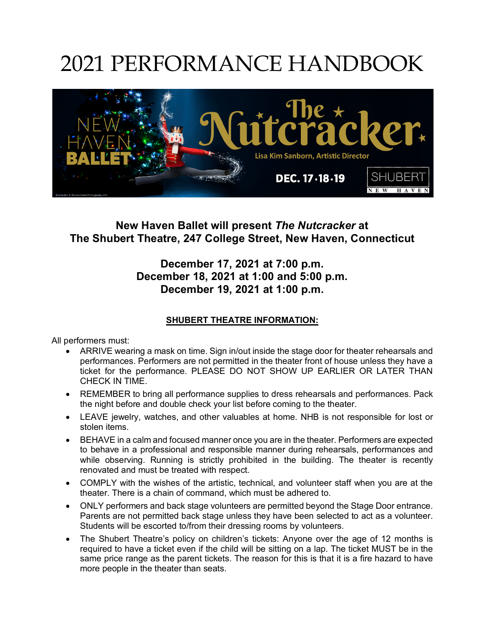### 2021 PERFORMANCE HANDBOOK



#### **New Haven Ballet will present** *The Nutcracker* **at The Shubert Theatre, 247 College Street, New Haven, Connecticut**

#### **December 17, 2021 at 7:00 p.m. December 18, 2021 at 1:00 and 5:00 p.m. December 19, 2021 at 1:00 p.m.**

#### **SHUBERT THEATRE INFORMATION:**

All performers must:

- ARRIVE wearing a mask on time. Sign in/out inside the stage door for theater rehearsals and performances. Performers are not permitted in the theater front of house unless they have a ticket for the performance. PLEASE DO NOT SHOW UP EARLIER OR LATER THAN CHECK IN TIME.
- REMEMBER to bring all performance supplies to dress rehearsals and performances. Pack the night before and double check your list before coming to the theater.
- LEAVE jewelry, watches, and other valuables at home. NHB is not responsible for lost or stolen items.
- BEHAVE in a calm and focused manner once you are in the theater. Performers are expected to behave in a professional and responsible manner during rehearsals, performances and while observing. Running is strictly prohibited in the building. The theater is recently renovated and must be treated with respect.
- COMPLY with the wishes of the artistic, technical, and volunteer staff when you are at the theater. There is a chain of command, which must be adhered to.
- ONLY performers and back stage volunteers are permitted beyond the Stage Door entrance. Parents are not permitted back stage unless they have been selected to act as a volunteer. Students will be escorted to/from their dressing rooms by volunteers.
- The Shubert Theatre's policy on children's tickets: Anyone over the age of 12 months is required to have a ticket even if the child will be sitting on a lap. The ticket MUST be in the same price range as the parent tickets. The reason for this is that it is a fire hazard to have more people in the theater than seats.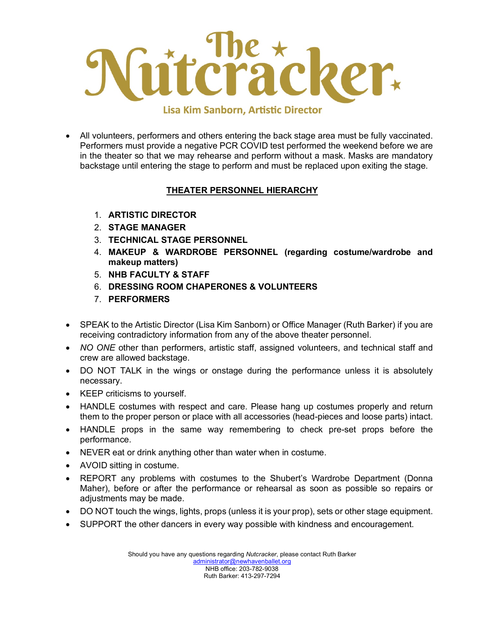

• All volunteers, performers and others entering the back stage area must be fully vaccinated. Performers must provide a negative PCR COVID test performed the weekend before we are in the theater so that we may rehearse and perform without a mask. Masks are mandatory backstage until entering the stage to perform and must be replaced upon exiting the stage.

#### **THEATER PERSONNEL HIERARCHY**

- 1. **ARTISTIC DIRECTOR**
- 2. **STAGE MANAGER**
- 3. **TECHNICAL STAGE PERSONNEL**
- 4. **MAKEUP & WARDROBE PERSONNEL (regarding costume/wardrobe and makeup matters)**
- 5. **NHB FACULTY & STAFF**
- 6. **DRESSING ROOM CHAPERONES & VOLUNTEERS**
- 7. **PERFORMERS**
- SPEAK to the Artistic Director (Lisa Kim Sanborn) or Office Manager (Ruth Barker) if you are receiving contradictory information from any of the above theater personnel.
- *NO ONE* other than performers, artistic staff, assigned volunteers, and technical staff and crew are allowed backstage.
- DO NOT TALK in the wings or onstage during the performance unless it is absolutely necessary.
- KEEP criticisms to yourself.
- HANDLE costumes with respect and care. Please hang up costumes properly and return them to the proper person or place with all accessories (head-pieces and loose parts) intact.
- HANDLE props in the same way remembering to check pre-set props before the performance.
- NEVER eat or drink anything other than water when in costume.
- AVOID sitting in costume.
- REPORT any problems with costumes to the Shubert's Wardrobe Department (Donna Maher), before or after the performance or rehearsal as soon as possible so repairs or adjustments may be made.
- DO NOT touch the wings, lights, props (unless it is your prop), sets or other stage equipment.
- SUPPORT the other dancers in every way possible with kindness and encouragement.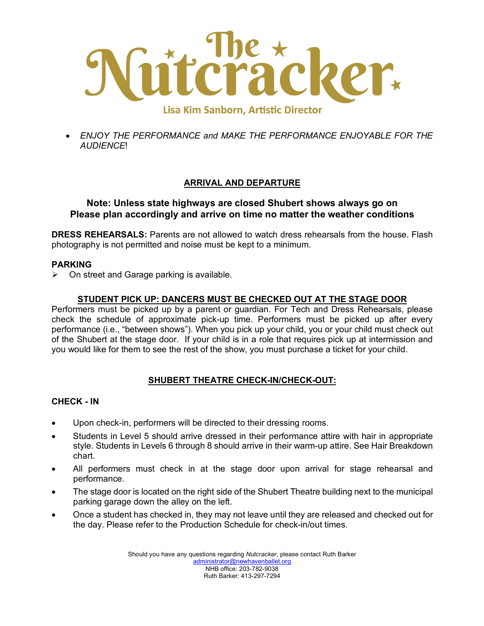

• *ENJOY THE PERFORMANCE and MAKE THE PERFORMANCE ENJOYABLE FOR THE AUDIENCE*!

#### **ARRIVAL AND DEPARTURE**

#### **Note: Unless state highways are closed Shubert shows always go on Please plan accordingly and arrive on time no matter the weather conditions**

**DRESS REHEARSALS:** Parents are not allowed to watch dress rehearsals from the house. Flash photography is not permitted and noise must be kept to a minimum.

#### **PARKING**

 $\triangleright$  On street and Garage parking is available.

#### **STUDENT PICK UP: DANCERS MUST BE CHECKED OUT AT THE STAGE DOOR**

Performers must be picked up by a parent or guardian. For Tech and Dress Rehearsals, please check the schedule of approximate pick-up time. Performers must be picked up after every performance (i.e., "between shows"). When you pick up your child, you or your child must check out of the Shubert at the stage door. If your child is in a role that requires pick up at intermission and you would like for them to see the rest of the show, you must purchase a ticket for your child.

#### **SHUBERT THEATRE CHECK-IN/CHECK-OUT:**

#### **CHECK - IN**

- Upon check-in, performers will be directed to their dressing rooms.
- Students in Level 5 should arrive dressed in their performance attire with hair in appropriate style. Students in Levels 6 through 8 should arrive in their warm-up attire. See Hair Breakdown chart.
- All performers must check in at the stage door upon arrival for stage rehearsal and performance.
- The stage door is located on the right side of the Shubert Theatre building next to the municipal parking garage down the alley on the left.
- Once a student has checked in, they may not leave until they are released and checked out for the day. Please refer to the Production Schedule for check-in/out times.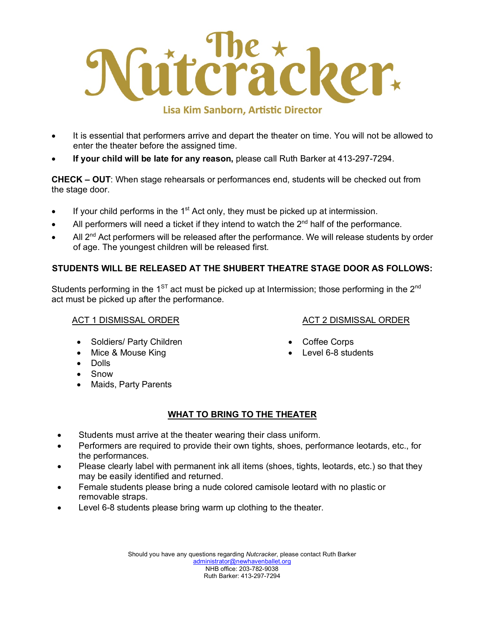

- It is essential that performers arrive and depart the theater on time. You will not be allowed to enter the theater before the assigned time.
- **If your child will be late for any reason,** please call Ruth Barker at 413-297-7294.

**CHECK – OUT**: When stage rehearsals or performances end, students will be checked out from the stage door.

- $\bullet$  If your child performs in the 1<sup>st</sup> Act only, they must be picked up at intermission.
- All performers will need a ticket if they intend to watch the  $2<sup>nd</sup>$  half of the performance.
- All  $2^{nd}$  Act performers will be released after the performance. We will release students by order of age. The youngest children will be released first.

#### **STUDENTS WILL BE RELEASED AT THE SHUBERT THEATRE STAGE DOOR AS FOLLOWS:**

Students performing in the  $1<sup>ST</sup>$  act must be picked up at Intermission; those performing in the 2<sup>nd</sup> act must be picked up after the performance.

#### ACT 1 DISMISSAL ORDER

#### ACT 2 DISMISSAL ORDER

• Coffee Corps

Level 6-8 students

- Soldiers/ Party Children
- Mice & Mouse King
- Dolls
- **Snow**
- Maids, Party Parents

#### **WHAT TO BRING TO THE THEATER**

- Students must arrive at the theater wearing their class uniform.
- Performers are required to provide their own tights, shoes, performance leotards, etc., for the performances.
- Please clearly label with permanent ink all items (shoes, tights, leotards, etc.) so that they may be easily identified and returned.
- Female students please bring a nude colored camisole leotard with no plastic or removable straps.
- Level 6-8 students please bring warm up clothing to the theater.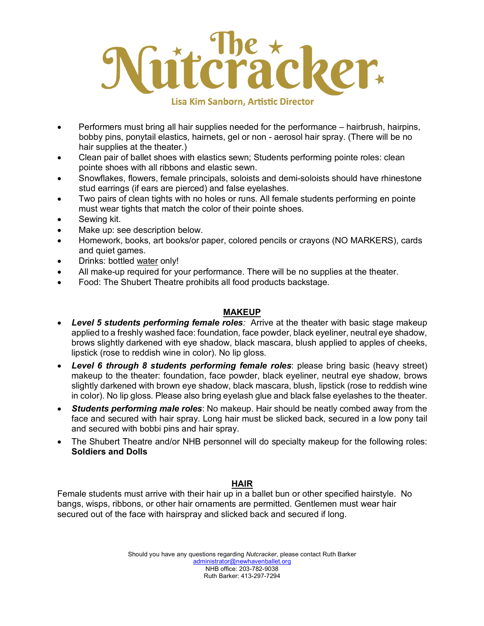## icker. **Lisa Kim Sanborn, Artistic Director**

• Performers must bring all hair supplies needed for the performance – hairbrush, hairpins, bobby pins, ponytail elastics, hairnets, gel or non - aerosol hair spray. (There will be no hair supplies at the theater.)

- Clean pair of ballet shoes with elastics sewn; Students performing pointe roles: clean pointe shoes with all ribbons and elastic sewn.
- Snowflakes, flowers, female principals, soloists and demi-soloists should have rhinestone stud earrings (if ears are pierced) and false eyelashes.
- Two pairs of clean tights with no holes or runs. All female students performing en pointe must wear tights that match the color of their pointe shoes.
- Sewing kit.
- Make up: see description below.
- Homework, books, art books/or paper, colored pencils or crayons (NO MARKERS), cards and quiet games.
- Drinks: bottled water only!
- All make-up required for your performance. There will be no supplies at the theater.
- Food: The Shubert Theatre prohibits all food products backstage.

#### **MAKEUP**

- *Level 5 students performing female roles:* Arrive at the theater with basic stage makeup applied to a freshly washed face: foundation, face powder, black eyeliner, neutral eye shadow, brows slightly darkened with eye shadow, black mascara, blush applied to apples of cheeks, lipstick (rose to reddish wine in color). No lip gloss.
- *Level 6 through 8 students performing female roles*: please bring basic (heavy street) makeup to the theater: foundation, face powder, black eyeliner, neutral eye shadow, brows slightly darkened with brown eye shadow, black mascara, blush, lipstick (rose to reddish wine in color). No lip gloss. Please also bring eyelash glue and black false eyelashes to the theater.
- *Students performing male roles*: No makeup. Hair should be neatly combed away from the face and secured with hair spray. Long hair must be slicked back, secured in a low pony tail and secured with bobbi pins and hair spray.
- The Shubert Theatre and/or NHB personnel will do specialty makeup for the following roles: **Soldiers and Dolls**

#### **HAIR**

Female students must arrive with their hair up in a ballet bun or other specified hairstyle. No bangs, wisps, ribbons, or other hair ornaments are permitted. Gentlemen must wear hair secured out of the face with hairspray and slicked back and secured if long.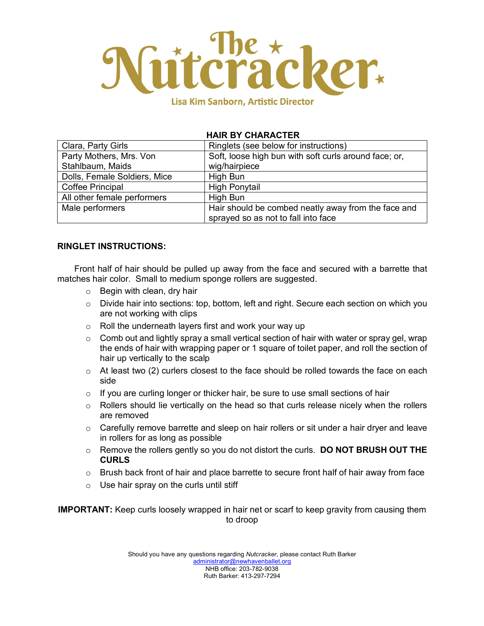

#### **HAIR BY CHARACTER**

| Clara, Party Girls           | Ringlets (see below for instructions)                 |
|------------------------------|-------------------------------------------------------|
| Party Mothers, Mrs. Von      | Soft, loose high bun with soft curls around face; or, |
| Stahlbaum, Maids             | wig/hairpiece                                         |
| Dolls, Female Soldiers, Mice | High Bun                                              |
| <b>Coffee Principal</b>      | <b>High Ponytail</b>                                  |
| All other female performers  | High Bun                                              |
| Male performers              | Hair should be combed neatly away from the face and   |
|                              | sprayed so as not to fall into face                   |

#### **RINGLET INSTRUCTIONS:**

Front half of hair should be pulled up away from the face and secured with a barrette that matches hair color. Small to medium sponge rollers are suggested.

- o Begin with clean, dry hair
- o Divide hair into sections: top, bottom, left and right. Secure each section on which you are not working with clips
- o Roll the underneath layers first and work your way up
- o Comb out and lightly spray a small vertical section of hair with water or spray gel, wrap the ends of hair with wrapping paper or 1 square of toilet paper, and roll the section of hair up vertically to the scalp
- $\circ$  At least two (2) curlers closest to the face should be rolled towards the face on each side
- $\circ$  If you are curling longer or thicker hair, be sure to use small sections of hair
- $\circ$  Rollers should lie vertically on the head so that curls release nicely when the rollers are removed
- $\circ$  Carefully remove barrette and sleep on hair rollers or sit under a hair dryer and leave in rollers for as long as possible
- o Remove the rollers gently so you do not distort the curls. **DO NOT BRUSH OUT THE CURLS**
- $\circ$  Brush back front of hair and place barrette to secure front half of hair away from face
- $\circ$  Use hair spray on the curls until stiff

**IMPORTANT:** Keep curls loosely wrapped in hair net or scarf to keep gravity from causing them to droop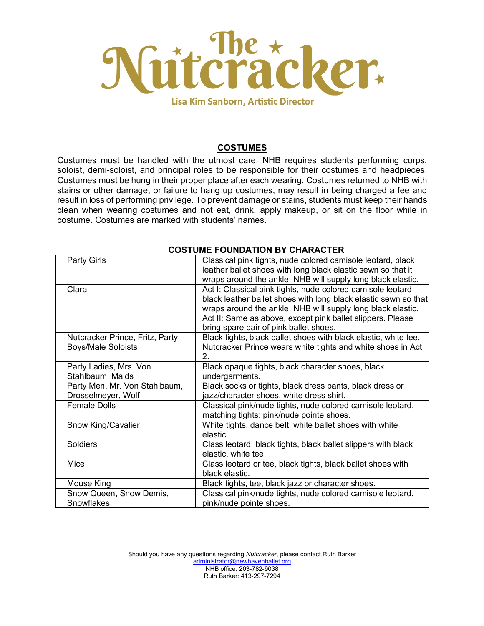

#### **COSTUMES**

Costumes must be handled with the utmost care. NHB requires students performing corps, soloist, demi-soloist, and principal roles to be responsible for their costumes and headpieces. Costumes must be hung in their proper place after each wearing. Costumes returned to NHB with stains or other damage, or failure to hang up costumes, may result in being charged a fee and result in loss of performing privilege. To prevent damage or stains, students must keep their hands clean when wearing costumes and not eat, drink, apply makeup, or sit on the floor while in costume. Costumes are marked with students' names.

| <b>Party Girls</b>              | Classical pink tights, nude colored camisole leotard, black     |
|---------------------------------|-----------------------------------------------------------------|
|                                 | leather ballet shoes with long black elastic sewn so that it    |
|                                 | wraps around the ankle. NHB will supply long black elastic.     |
| Clara                           | Act I: Classical pink tights, nude colored camisole leotard,    |
|                                 | black leather ballet shoes with long black elastic sewn so that |
|                                 | wraps around the ankle. NHB will supply long black elastic.     |
|                                 | Act II: Same as above, except pink ballet slippers. Please      |
|                                 | bring spare pair of pink ballet shoes.                          |
| Nutcracker Prince, Fritz, Party | Black tights, black ballet shoes with black elastic, white tee. |
| <b>Boys/Male Soloists</b>       | Nutcracker Prince wears white tights and white shoes in Act     |
|                                 | 2.                                                              |
| Party Ladies, Mrs. Von          | Black opaque tights, black character shoes, black               |
| Stahlbaum, Maids                | undergarments.                                                  |
| Party Men, Mr. Von Stahlbaum,   | Black socks or tights, black dress pants, black dress or        |
| Drosselmeyer, Wolf              | jazz/character shoes, white dress shirt.                        |
| <b>Female Dolls</b>             | Classical pink/nude tights, nude colored camisole leotard,      |
|                                 | matching tights: pink/nude pointe shoes.                        |
| Snow King/Cavalier              | White tights, dance belt, white ballet shoes with white         |
|                                 | elastic.                                                        |
| Soldiers                        | Class leotard, black tights, black ballet slippers with black   |
|                                 | elastic, white tee.                                             |
| Mice                            | Class leotard or tee, black tights, black ballet shoes with     |
|                                 | black elastic.                                                  |
| Mouse King                      | Black tights, tee, black jazz or character shoes.               |
| Snow Queen, Snow Demis,         | Classical pink/nude tights, nude colored camisole leotard,      |
| Snowflakes                      | pink/nude pointe shoes.                                         |

#### **COSTUME FOUNDATION BY CHARACTER**